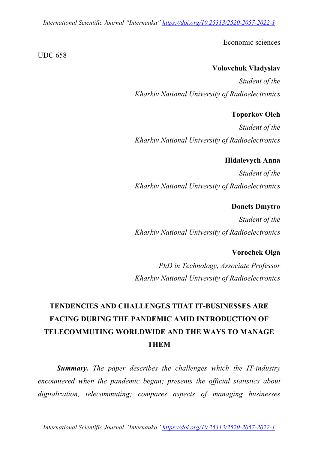*International Scientific Journal "Internauka" https://doi.org/10.25313/2520-2057-2022-1*

Economic sciences

#### **Volovchuk Vladyslav**

*Student of the Kharkiv National University of Radioelectronics*

### **Toporkov Oleh**

*Student of the Kharkiv National University of Radioelectronics*

### **Hidalevych Anna**

*Student of the Kharkiv National University of Radioelectronics*

#### **Donets Dmytro**

*Student of the Kharkiv National University of Radioelectronics*

# **Vorochek Olga**

*PhD in Technology, Associate Professor Kharkiv National University of Radioelectronics*

# **TENDENCIES AND CHALLENGES THAT IT-BUSINESSES ARE FACING DURING THE PANDEMIC AMID INTRODUCTION OF TELECOMMUTING WORLDWIDE AND THE WAYS TO MANAGE THEM**

*Summary. The paper describes the challenges which the IT-industry encountered when the pandemic began; presents the official statistics about digitalization, telecommuting; compares aspects of managing businesses* 

*International Scientific Journal "Internauka" https://doi.org/10.25313/2520-2057-2022-1*

#### UDC 658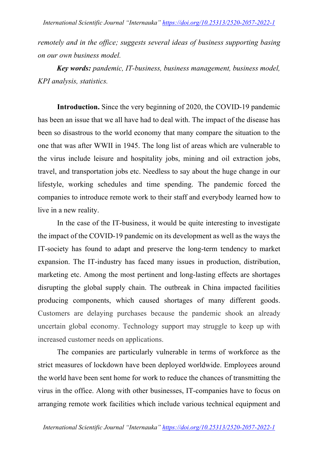*remotely and in the office; suggests several ideas of business supporting basing on our own business model.*

*Key words: pandemic, IT-business, business management, business model, KPI analysis, statistics.*

**Introduction.** Since the very beginning of 2020, the COVID-19 pandemic has been an issue that we all have had to deal with. The impact of the disease has been so disastrous to the world economy that many compare the situation to the one that was after WWII in 1945. The long list of areas which are vulnerable to the virus include leisure and hospitality jobs, mining and oil extraction jobs, travel, and transportation jobs etc. Needless to say about the huge change in our lifestyle, working schedules and time spending. The pandemic forced the companies to introduce remote work to their staff and everybody learned how to live in a new reality.

In the case of the IT-business, it would be quite interesting to investigate the impact of the COVID-19 pandemic on its development as well as the ways the IT-society has found to adapt and preserve the long-term tendency to market expansion. The IT-industry has faced many issues in production, distribution, marketing etc. Among the most pertinent and long-lasting effects are shortages disrupting the global supply chain. The outbreak in China impacted facilities producing components, which caused shortages of many different goods. Customers are delaying purchases because the pandemic shook an already uncertain global economy. Technology support may struggle to keep up with increased customer needs on applications.

The companies are particularly vulnerable in terms of workforce as the strict measures of lockdown have been deployed worldwide. Employees around the world have been sent home for work to reduce the chances of transmitting the virus in the office. Along with other businesses, IT-companies have to focus on arranging remote work facilities which include various technical equipment and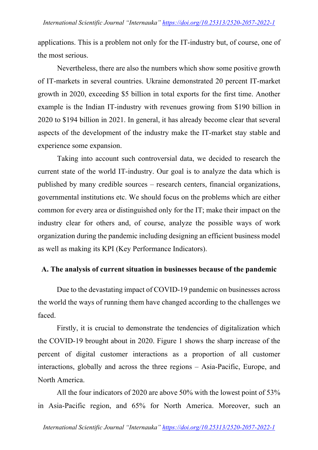applications. This is a problem not only for the IT-industry but, of course, one of the most serious.

Nevertheless, there are also the numbers which show some positive growth of IT-markets in several countries. Ukraine demonstrated 20 percent IT-market growth in 2020, exceeding \$5 billion in total exports for the first time. Another example is the Indian IT-industry with revenues growing from \$190 billion in 2020 to \$194 billion in 2021. In general, it has already become clear that several aspects of the development of the industry make the IT-market stay stable and experience some expansion.

Taking into account such controversial data, we decided to research the current state of the world IT-industry. Our goal is to analyze the data which is published by many credible sources – research centers, financial organizations, governmental institutions etc. We should focus on the problems which are either common for every area or distinguished only for the IT; make their impact on the industry clear for others and, of course, analyze the possible ways of work organization during the pandemic including designing an efficient business model as well as making its KPI (Key Performance Indicators).

# **A. The analysis of current situation in businesses because of the pandemic**

Due to the devastating impact of COVID-19 pandemic on businesses across the world the ways of running them have changed according to the challenges we faced.

Firstly, it is crucial to demonstrate the tendencies of digitalization which the COVID-19 brought about in 2020. Figure 1 shows the sharp increase of the percent of digital customer interactions as a proportion of all customer interactions, globally and across the three regions – Asia-Pacific, Europe, and North America.

All the four indicators of 2020 are above 50% with the lowest point of 53% in Asia-Pacific region, and 65% for North America. Moreover, such an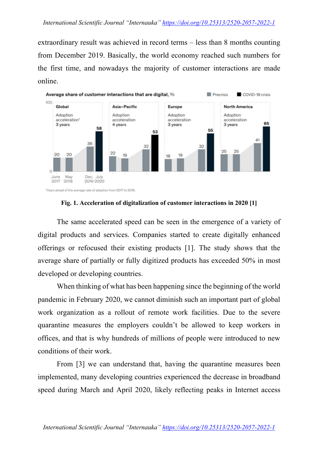extraordinary result was achieved in record terms – less than 8 months counting from December 2019. Basically, the world economy reached such numbers for the first time, and nowadays the majority of customer interactions are made online.



#### **Fig. 1. Acceleration of digitalization of customer interactions in 2020 [1]**

The same accelerated speed can be seen in the emergence of a variety of digital products and services. Companies started to create digitally enhanced offerings or refocused their existing products [1]. The study shows that the average share of partially or fully digitized products has exceeded 50% in most developed or developing countries.

When thinking of what has been happening since the beginning of the world pandemic in February 2020, we cannot diminish such an important part of global work organization as a rollout of remote work facilities. Due to the severe quarantine measures the employers couldn't be allowed to keep workers in offices, and that is why hundreds of millions of people were introduced to new conditions of their work.

From [3] we can understand that, having the quarantine measures been implemented, many developing countries experienced the decrease in broadband speed during March and April 2020, likely reflecting peaks in Internet access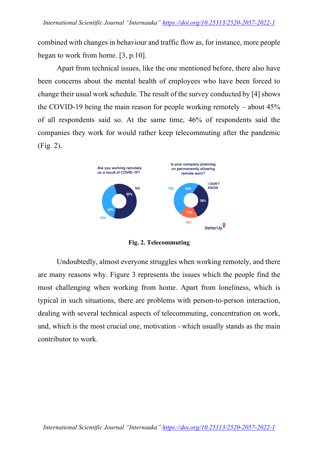combined with changes in behaviour and traffic flow as, for instance, more people began to work from home. [3, p.10].

Apart from technical issues, like the one mentioned before, there also have been concerns about the mental health of employees who have been forced to change their usual work schedule. The result of the survey conducted by [4] shows the COVID-19 being the main reason for people working remotely – about 45% of all respondents said so. At the same time, 46% of respondents said the companies they work for would rather keep telecommuting after the pandemic (Fig. 2).



**Fig. 2. Telecommuting**

Undoubtedly, almost everyone struggles when working remotely, and there are many reasons why. Figure 3 represents the issues which the people find the most challenging when working from home. Apart from loneliness, which is typical in such situations, there are problems with person-to-person interaction, dealing with several technical aspects of telecommuting, concentration on work, and, which is the most crucial one, motivation - which usually stands as the main contributor to work.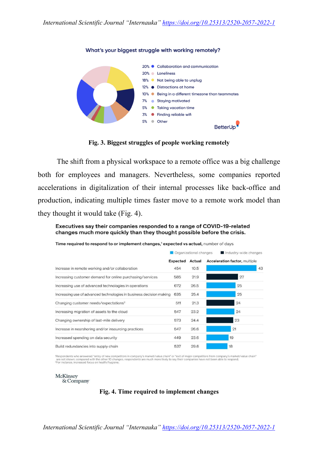

#### What's your biggest struggle with working remotely?

**Fig. 3. Biggest struggles of people working remotely**

The shift from a physical workspace to a remote office was a big challenge both for employees and managers. Nevertheless, some companies reported accelerations in digitalization of their internal processes like back-office and production, indicating multiple times faster move to a remote work model than they thought it would take (Fig. 4).

Executives say their companies responded to a range of COVID-19-related changes much more quickly than they thought possible before the crisis.

Time required to respond to or implement changes,<sup>1</sup> expected vs actual, number of days

|                                                                     |                 | Crganizational changes | Industry-wide changes                |
|---------------------------------------------------------------------|-----------------|------------------------|--------------------------------------|
|                                                                     | <b>Expected</b> | Actual                 | <b>Acceleration factor, multiple</b> |
| Increase in remote working and/or collaboration                     | 454             | 10.5                   | 43                                   |
| Increasing customer demand for online purchasing/services           | 585             | 21.9                   | 27                                   |
| Increasing use of advanced technologies in operations               | 672             | 26.5                   | 25                                   |
| Increasing use of advanced technologies in business decision making | 635             | 25.4                   | 25                                   |
| Changing customer needs/expectations <sup>2</sup>                   | 511             | 21.3                   | 24                                   |
| Increasing migration of assets to the cloud                         | 547             | 23.2                   | 24                                   |
| Changing ownership of last-mile delivery                            | 573             | 24.4                   | 23                                   |
| Increase in nearshoring and/or insourcing practices                 | 547             | 26.6                   | 21                                   |
| Increased spending on data security                                 | 449             | 23.6                   | 19                                   |
| Build redundancies into supply chain                                | 537             | 29.6                   | 18                                   |

'Respondents who answered "entry of new competitors in company's market/value chain" or "exit of major competitors from company's market/value chain"<br>"are not shown; compared with the other 10 changes, respondents are much

**McKinsey** & Company

#### **Fig. 4. Time required to implement changes**

*International Scientific Journal "Internauka" https://doi.org/10.25313/2520-2057-2022-1*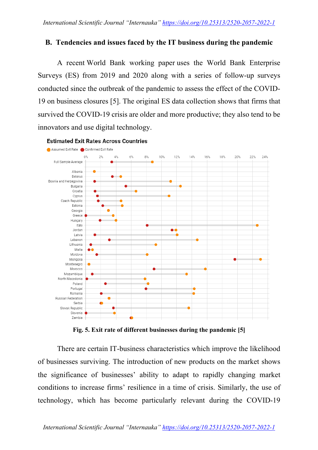#### **B. Tendencies and issues faced by the IT business during the pandemic**

A recent World Bank working paper uses the World Bank Enterprise Surveys (ES) from 2019 and 2020 along with a series of follow-up surveys conducted since the outbreak of the pandemic to assess the effect of the COVID-19 on business closures [5]. The original ES data collection shows that firms that survived the COVID-19 crisis are older and more productive; they also tend to be innovators and use digital technology.



#### **Estimated Exit Rates Across Countries**

**Fig. 5. Exit rate of different businesses during the pandemic [5]**

There are certain IT-business characteristics which improve the likelihood of businesses surviving. The introduction of new products on the market shows the significance of businesses' ability to adapt to rapidly changing market conditions to increase firms' resilience in a time of crisis. Similarly, the use of technology, which has become particularly relevant during the COVID-19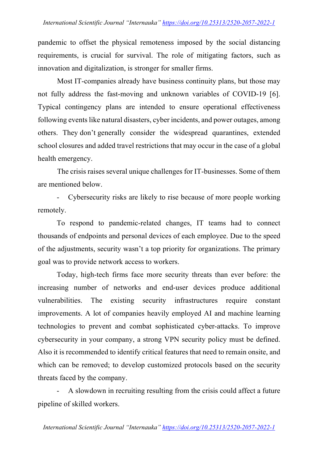pandemic to offset the physical remoteness imposed by the social distancing requirements, is crucial for survival. The role of mitigating factors, such as innovation and digitalization, is stronger for smaller firms.

Most IT-companies already have business continuity plans, but those may not fully address the fast-moving and unknown variables of COVID-19 [6]. Typical contingency plans are intended to ensure operational effectiveness following events like natural disasters, cyber incidents, and power outages, among others. They don't generally consider the widespread quarantines, extended school closures and added travel restrictions that may occur in the case of a global health emergency.

The crisis raises several unique challenges for IT-businesses. Some of them are mentioned below.

- Cybersecurity risks are likely to rise because of more people working remotely.

To respond to pandemic-related changes, IT teams had to connect thousands of endpoints and personal devices of each employee. Due to the speed of the adjustments, security wasn't a top priority for organizations. The primary goal was to provide network access to workers.

Today, high-tech firms face more security threats than ever before: the increasing number of networks and end-user devices produce additional vulnerabilities. The existing security infrastructures require constant improvements. A lot of companies heavily employed AI and machine learning technologies to prevent and combat sophisticated cyber-attacks. To improve cybersecurity in your company, a strong VPN security policy must be defined. Also it is recommended to identify critical features that need to remain onsite, and which can be removed; to develop customized protocols based on the security threats faced by the company.

A slowdown in recruiting resulting from the crisis could affect a future pipeline of skilled workers.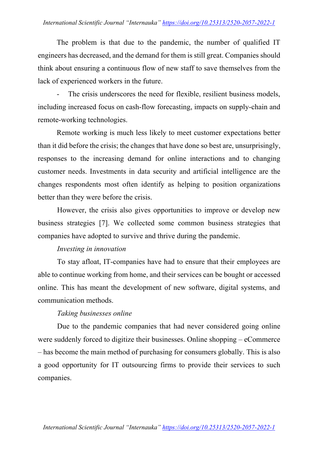#### *International Scientific Journal "Internauka" https://doi.org/10.25313/2520-2057-2022-1*

The problem is that due to the pandemic, the number of qualified IT engineers has decreased, and the demand for them is still great. Companies should think about ensuring a continuous flow of new staff to save themselves from the lack of experienced workers in the future.

The crisis underscores the need for flexible, resilient business models, including increased focus on cash-flow forecasting, impacts on supply-chain and remote-working technologies.

Remote working is much less likely to meet customer expectations better than it did before the crisis; the changes that have done so best are, unsurprisingly, responses to the increasing demand for online interactions and to changing customer needs. Investments in data security and artificial intelligence are the changes respondents most often identify as helping to position organizations better than they were before the crisis.

However, the crisis also gives opportunities to improve or develop new business strategies [7]. We collected some common business strategies that companies have adopted to survive and thrive during the pandemic.

#### *Investing in innovation*

To stay afloat, IT-companies have had to ensure that their employees are able to continue working from home, and their services can be bought or accessed online. This has meant the development of new software, digital systems, and communication methods.

#### *Taking businesses online*

Due to the pandemic companies that had never considered going online were suddenly forced to digitize their businesses. Online shopping – eCommerce – has become the main method of purchasing for consumers globally. This is also a good opportunity for IT outsourcing firms to provide their services to such companies.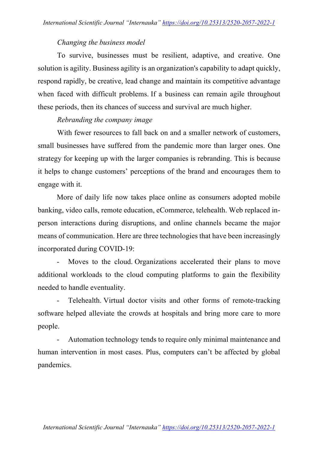### *Changing the business model*

To survive, businesses must be resilient, adaptive, and creative. One solution is agility. Business agility is an organization's capability to adapt quickly, respond rapidly, be creative, lead change and maintain its competitive advantage when faced with difficult problems. If a business can remain agile throughout these periods, then its chances of success and survival are much higher.

# *Rebranding the company image*

With fewer resources to fall back on and a smaller network of customers, small businesses have suffered from the pandemic more than larger ones. One strategy for keeping up with the larger companies is rebranding. This is because it helps to change customers' perceptions of the brand and encourages them to engage with it.

More of daily life now takes place online as consumers adopted mobile banking, video calls, remote education, eCommerce, telehealth. Web replaced inperson interactions during disruptions, and online channels became the major means of communication. Here are three technologies that have been increasingly incorporated during COVID-19:

Moves to the cloud. Organizations accelerated their plans to move additional workloads to the cloud computing platforms to gain the flexibility needed to handle eventuality.

Telehealth. Virtual doctor visits and other forms of remote-tracking software helped alleviate the crowds at hospitals and bring more care to more people.

Automation technology tends to require only minimal maintenance and human intervention in most cases. Plus, computers can't be affected by global pandemics.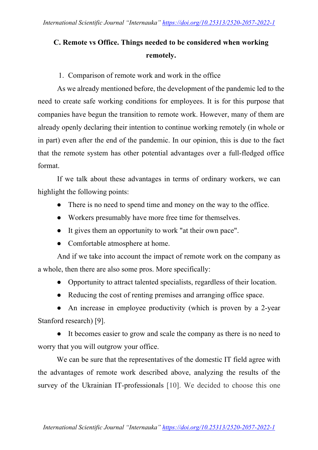# **C. Remote vs Office. Things needed to be considered when working remotely.**

# 1. Comparison of remote work and work in the office

As we already mentioned before, the development of the pandemic led to the need to create safe working conditions for employees. It is for this purpose that companies have begun the transition to remote work. However, many of them are already openly declaring their intention to continue working remotely (in whole or in part) even after the end of the pandemic. In our opinion, this is due to the fact that the remote system has other potential advantages over a full-fledged office format.

If we talk about these advantages in terms of ordinary workers, we can highlight the following points:

- There is no need to spend time and money on the way to the office.
- Workers presumably have more free time for themselves.
- It gives them an opportunity to work "at their own pace".
- Comfortable atmosphere at home.

And if we take into account the impact of remote work on the company as a whole, then there are also some pros. More specifically:

- Opportunity to attract talented specialists, regardless of their location.
- Reducing the cost of renting premises and arranging office space.

• An increase in employee productivity (which is proven by a 2-year Stanford research) [9].

● It becomes easier to grow and scale the company as there is no need to worry that you will outgrow your office.

We can be sure that the representatives of the domestic IT field agree with the advantages of remote work described above, analyzing the results of the survey of the Ukrainian IT-professionals [10]. We decided to choose this one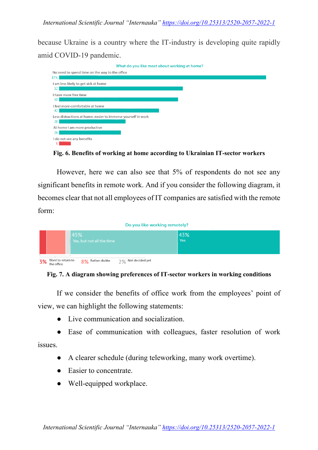because Ukraine is a country where the IT-industry is developing quite rapidly amid COVID-19 pandemic.



**Fig. 6. Benefits of working at home according to Ukrainian IT-sector workers**

However, here we can also see that 5% of respondents do not see any significant benefits in remote work. And if you consider the following diagram, it becomes clear that not all employees of IT companies are satisfied with the remote form:

|    | Do you like working remotely?                                                   | <b>Contractor</b> |
|----|---------------------------------------------------------------------------------|-------------------|
|    | 45%<br>Yes, but not all the time                                                | 43%<br><b>Yes</b> |
| 3% | Want to return to -<br>Not decided yet<br>8% Rather dislike<br>2%<br>the office |                   |

**Fig. 7. A diagram showing preferences of IT-sector workers in working conditions**

If we consider the benefits of office work from the employees' point of view, we can highlight the following statements:

- Live communication and socialization.
- Ease of communication with colleagues, faster resolution of work issues.
	- A clearer schedule (during teleworking, many work overtime).
		- Easier to concentrate.
		- Well-equipped workplace.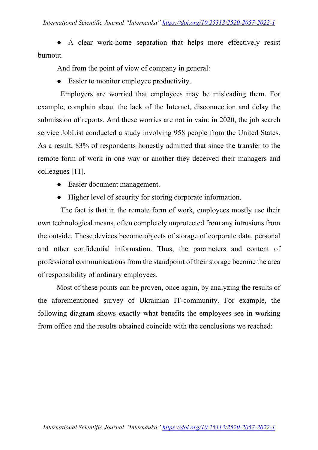A clear work-home separation that helps more effectively resist burnout.

And from the point of view of company in general:

• Easier to monitor employee productivity.

Employers are worried that employees may be misleading them. For example, complain about the lack of the Internet, disconnection and delay the submission of reports. And these worries are not in vain: in 2020, the job search service JobList conducted a study involving 958 people from the United States. As a result, 83% of respondents honestly admitted that since the transfer to the remote form of work in one way or another they deceived their managers and colleagues [11].

- Easier document management.
- Higher level of security for storing corporate information.

The fact is that in the remote form of work, employees mostly use their own technological means, often completely unprotected from any intrusions from the outside. These devices become objects of storage of corporate data, personal and other confidential information. Thus, the parameters and content of professional communications from the standpoint of their storage become the area of responsibility of ordinary employees.

Most of these points can be proven, once again, by analyzing the results of the aforementioned survey of Ukrainian IT-community. For example, the following diagram shows exactly what benefits the employees see in working from office and the results obtained coincide with the conclusions we reached: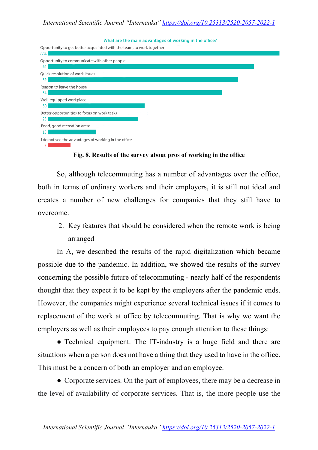What are the main advantages of working in the office?

| Opportunity to get better acquainted with the team, to work together |  |
|----------------------------------------------------------------------|--|
| 72%                                                                  |  |
| Opportunity to communicate with other people<br>64                   |  |
| Quick resolution of work issues<br>59                                |  |
| Reason to leave the house<br>54                                      |  |
| Well-equipped workplace<br>30                                        |  |
| Better opportunities to focus on work tasks<br>28                    |  |
| Food, good recreation areas<br>15                                    |  |
| I do not see the advantages of working in the office                 |  |

**Fig. 8. Results of the survey about pros of working in the office**

So, although telecommuting has a number of advantages over the office, both in terms of ordinary workers and their employers, it is still not ideal and creates a number of new challenges for companies that they still have to overcome.

2. Key features that should be considered when the remote work is being arranged

In A, we described the results of the rapid digitalization which became possible due to the pandemic. In addition, we showed the results of the survey concerning the possible future of telecommuting - nearly half of the respondents thought that they expect it to be kept by the employers after the pandemic ends. However, the companies might experience several technical issues if it comes to replacement of the work at office by telecommuting. That is why we want the employers as well as their employees to pay enough attention to these things:

• Technical equipment. The IT-industry is a huge field and there are situations when a person does not have a thing that they used to have in the office. This must be a concern of both an employer and an employee.

● Corporate services. On the part of employees, there may be a decrease in the level of availability of corporate services. That is, the more people use the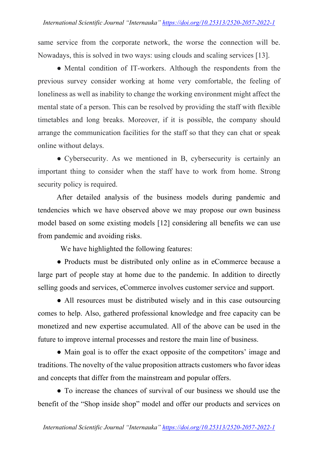same service from the corporate network, the worse the connection will be. Nowadays, this is solved in two ways: using clouds and scaling services [13].

• Mental condition of IT-workers. Although the respondents from the previous survey consider working at home very comfortable, the feeling of loneliness as well as inability to change the working environment might affect the mental state of a person. This can be resolved by providing the staff with flexible timetables and long breaks. Moreover, if it is possible, the company should arrange the communication facilities for the staff so that they can chat or speak online without delays.

● Cybersecurity. As we mentioned in B, cybersecurity is certainly an important thing to consider when the staff have to work from home. Strong security policy is required.

After detailed analysis of the business models during pandemic and tendencies which we have observed above we may propose our own business model based on some existing models [12] considering all benefits we can use from pandemic and avoiding risks.

We have highlighted the following features:

● Products must be distributed only online as in eCommerce because a large part of people stay at home due to the pandemic. In addition to directly selling goods and services, eCommerce involves customer service and support.

• All resources must be distributed wisely and in this case outsourcing comes to help. Also, gathered professional knowledge and free capacity can be monetized and new expertise accumulated. All of the above can be used in the future to improve internal processes and restore the main line of business.

• Main goal is to offer the exact opposite of the competitors' image and traditions. The novelty of the value proposition attracts customers who favor ideas and concepts that differ from the mainstream and popular offers.

• To increase the chances of survival of our business we should use the benefit of the "Shop inside shop" model and offer our products and services on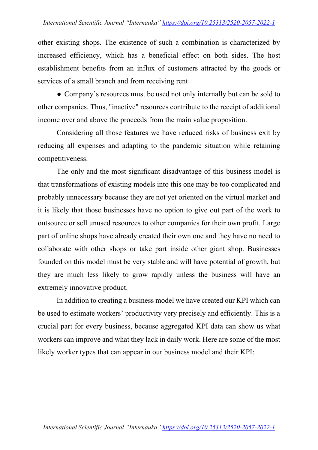other existing shops. The existence of such a combination is characterized by increased efficiency, which has a beneficial effect on both sides. The host establishment benefits from an influx of customers attracted by the goods or services of a small branch and from receiving rent

• Company's resources must be used not only internally but can be sold to other companies. Thus, "inactive" resources contribute to the receipt of additional income over and above the proceeds from the main value proposition.

Considering all those features we have reduced risks of business exit by reducing all expenses and adapting to the pandemic situation while retaining competitiveness.

The only and the most significant disadvantage of this business model is that transformations of existing models into this one may be too complicated and probably unnecessary because they are not yet oriented on the virtual market and it is likely that those businesses have no option to give out part of the work to outsource or sell unused resources to other companies for their own profit. Large part of online shops have already created their own one and they have no need to collaborate with other shops or take part inside other giant shop. Businesses founded on this model must be very stable and will have potential of growth, but they are much less likely to grow rapidly unless the business will have an extremely innovative product.

In addition to creating a business model we have created our KPI which can be used to estimate workers' productivity very precisely and efficiently. This is a crucial part for every business, because aggregated KPI data can show us what workers can improve and what they lack in daily work. Here are some of the most likely worker types that can appear in our business model and their KPI: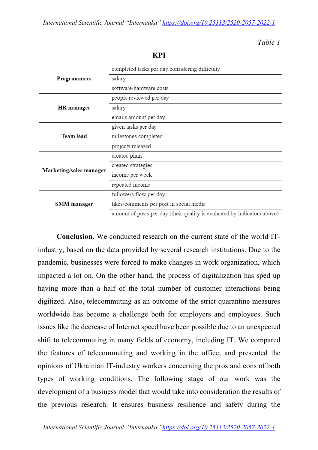*Table 1*

|                         | completed tasks per day considering difficulty                           |
|-------------------------|--------------------------------------------------------------------------|
| Programmers             | salary                                                                   |
|                         | software/hardware costs                                                  |
|                         | people reviewed per day                                                  |
| <b>HR</b> manager       | salary                                                                   |
|                         | emails amount per day                                                    |
|                         | given tasks per day                                                      |
| Team lead               | milestones completed                                                     |
|                         | projects released                                                        |
|                         | created plans                                                            |
| Marketing/sales manager | created strategies                                                       |
|                         | income per week                                                          |
|                         | repeated income                                                          |
|                         | followers flow per day                                                   |
| SMM manager             | likes/comments per post in social media                                  |
|                         | amount of posts per day (their quality is evaluated by indicators above) |

**KPI**

**Conclusion.** We conducted research on the current state of the world ITindustry, based on the data provided by several research institutions. Due to the pandemic, businesses were forced to make changes in work organization, which impacted a lot on. On the other hand, the process of digitalization has sped up having more than a half of the total number of customer interactions being digitized. Also, telecommuting as an outcome of the strict quarantine measures worldwide has become a challenge both for employers and employees. Such issues like the decrease of Internet speed have been possible due to an unexpected shift to telecommuting in many fields of economy, including IT. We compared the features of telecommuting and working in the office, and presented the opinions of Ukrainian IT-industry workers concerning the pros and cons of both types of working conditions. The following stage of our work was the development of a business model that would take into consideration the results of the previous research. It ensures business resilience and safety during the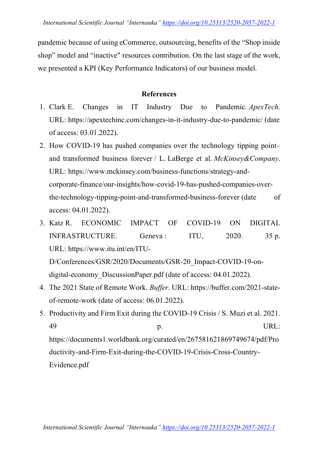pandemic because of using eCommerce, outsourcing, benefits of the "Shop inside shop" model and "inactive" resources contribution. On the last stage of the work, we presented a KPI (Key Performance Indicators) of our business model.

### **References**

- 1. Clark E. Changes in IT Industry Due to Pandemic. *ApexTech*. URL: https://apextechinc.com/changes-in-it-industry-due-to-pandemic/ (date of access: 03.01.2022).
- 2. How COVID-19 has pushed companies over the technology tipping point– and transformed business forever / L. LaBerge et al. *McKinsey&Company*. URL: https://www.mckinsey.com/business-functions/strategy-andcorporate-finance/our-insights/how-covid-19-has-pushed-companies-overthe-technology-tipping-point-and-transformed-business-forever (date of access: 04.01.2022).
- 3. Katz R. ECONOMIC IMPACT OF COVID-19 ON DIGITAL INFRASTRUCTURE. Geneva: ITU, 2020. 35 p. URL: https://www.itu.int/en/ITU-

D/Conferences/GSR/2020/Documents/GSR-20\_Impact-COVID-19-ondigital-economy DiscussionPaper.pdf (date of access: 04.01.2022).

- 4. The 2021 State of Remote Work. *Buffer*. URL: https://buffer.com/2021-stateof-remote-work (date of access: 06.01.2022).
- 5. Productivity and Firm Exit during the COVID-19 Crisis / S. Muzi et al. 2021. 49 p. URL: https://documents1.worldbank.org/curated/en/267581621869749674/pdf/Pro ductivity-and-Firm-Exit-during-the-COVID-19-Crisis-Cross-Country-

Evidence.pdf